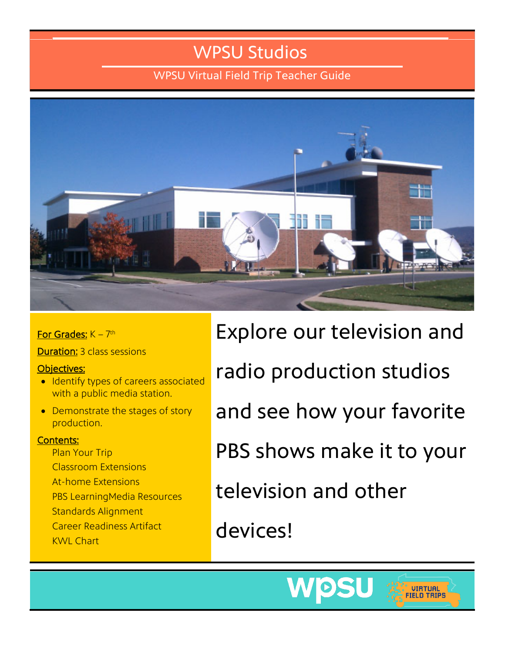### WPSU Studios

WPSU Virtual Field Trip Teacher Guide



For Grades:  $K - 7$ <sup>th</sup>

Duration: 3 class sessions

#### Objectives:

- Identify types of careers associated with a public media station.
- Demonstrate the stages of story production.

#### Contents:

Plan Your Trip Classroom Extensions At-home Extensions PBS LearningMedia Resources Standards Alignment Career Readiness Artifact KWL Chart

Explore our television and radio production studios and see how your favorite PBS shows make it to your television and other devices!



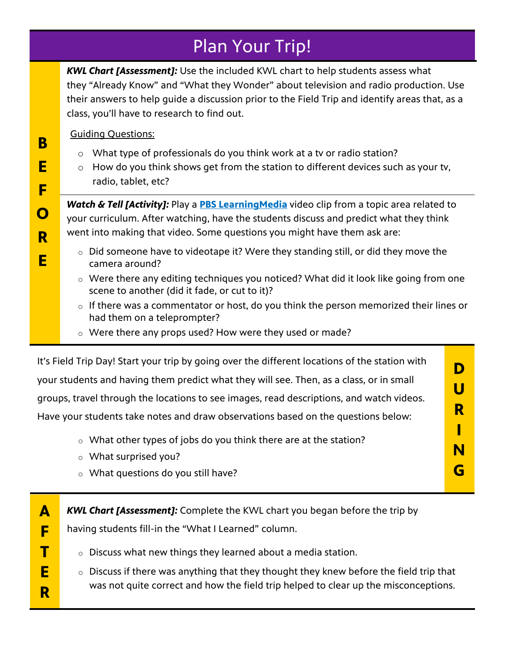### Plan Your Trip!

*KWL Chart [Assessment]:* Use the included KWL chart to help students assess what they "Already Know" and "What they Wonder" about television and radio production. Use their answers to help guide a discussion prior to the Field Trip and identify areas that, as a class, you'll have to research to find out.

#### Guiding Questions:

**B**

**E** 

**F** 

**O**

**R**

**E**

**A** 

**F** 

**T** 

**E** 

**R**

- o What type of professionals do you think work at a tv or radio station?
- $\circ$  How do you think shows get from the station to different devices such as your tv, radio, tablet, etc?

**Watch & Tell [Activity]:** Play a **[PBS LearningMedia](https://wpsu.pbslearningmedia.org/)** video clip from a topic area related to your curriculum. After watching, have the students discuss and predict what they think went into making that video. Some questions you might have them ask are:

- o Did someone have to videotape it? Were they standing still, or did they move the camera around?
- o Were there any editing techniques you noticed? What did it look like going from one scene to another (did it fade, or cut to it)?
- $\circ$  If there was a commentator or host, do you think the person memorized their lines or had them on a teleprompter?
- o Were there any props used? How were they used or made?

| It's Field Trip Day! Start your trip by going over the different locations of the station with |   |
|------------------------------------------------------------------------------------------------|---|
| your students and having them predict what they will see. Then, as a class, or in small        | U |
| groups, travel through the locations to see images, read descriptions, and watch videos.       |   |
| Have your students take notes and draw observations based on the questions below:              | R |
| • What other types of jobs do you think there are at the station?                              |   |
| o What surprised you?                                                                          | N |
| o What questions do you still have?                                                            |   |

*KWL Chart [Assessment]:* Complete the KWL chart you began before the trip by

having students fill-in the "What I Learned" column.

- $\circ$  Discuss what new things they learned about a media station.
- $\circ$  Discuss if there was anything that they thought they knew before the field trip that was not quite correct and how the field trip helped to clear up the misconceptions.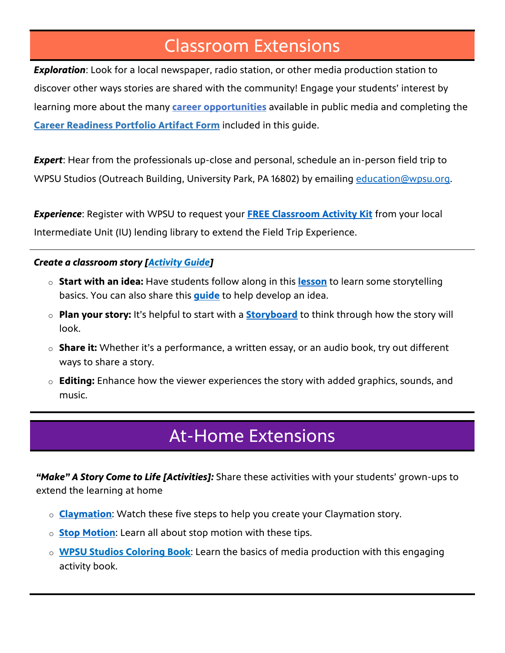### Classroom Extensions

*Exploration*: Look for a local newspaper, radio station, or other media production station to discover other ways stories are shared with the community! Engage your students' interest by learning more about the many **[career opportunities](http://virtualfieldtrips.wpsu.org/wp-content/uploads/2022/04/NEW-Careers-in-Public-Media-2022.pdf)** available in public media and completing the **[Career Readiness Portfolio Artifact Form](#page-4-0)** included in this guide.

**Expert**: Hear from the professionals up-close and personal, schedule an in-person field trip to WPSU Studios (Outreach Building, University Park, PA 16802) by emailing education@wpsu.org.

*Experience*: Register with WPSU to request your **[FREE Classroom Activity Kit](https://wpsumm.wufoo.com/forms/q1rjc24s0dxxre2/)** from your local Intermediate Unit (IU) lending library to extend the Field Trip Experience.

#### *Create a classroom story [\[Activity Guide\]](https://virtualfieldtrips.wpsu.org/wpsustudios/production-process/)*

- o **Start with an idea:** Have students follow along in this **[lesson](https://wpsu.pbslearningmedia.org/resource/ilwmht18-ela-storytelling/storytelling-with-words-and-pictures/)** to learn some storytelling basics. You can also share this **[guide](https://wqed.org/sites/default/files/education/wc/write-my-future-fill-in.pdf)** to help develop an idea.
- o **Plan your story:** It's helpful to start with a **[Storyboard](https://static.pbslearningmedia.org/media/media_files/Storyboard_Template.pdf)** to think through how the story will look.
- o **Share it:** Whether it's a performance, a written essay, or an audio book, try out different ways to share a story.
- o **Editing:** Enhance how the viewer experiences the story with added graphics, sounds, and music.

### At-Home Extensions

*"Make" A Story Come to Life [Activities]:* Share these activities with your students' grown-ups to extend the learning at home

- o **[Claymation](https://wpsu.pbslearningmedia.org/resource/9e272925-69b9-4400-8e94-e3293cf5c516/claymation-digital-storytelling-video-gallery/)**: Watch these five steps to help you create your Claymation story.
- o **[Stop Motion](https://wpsu.pbslearningmedia.org/resource/digital-storytelling-stop-motion-video-gallery/piranha-lab/)**: Learn all about stop motion with these tips.
- o **[WPSU Studios Coloring Book](http://virtualfieldtrips.wpsu.org/wp-content/uploads/2022/04/Coloring-Book-2022.pdf)**: Learn the basics of media production with this engaging activity book.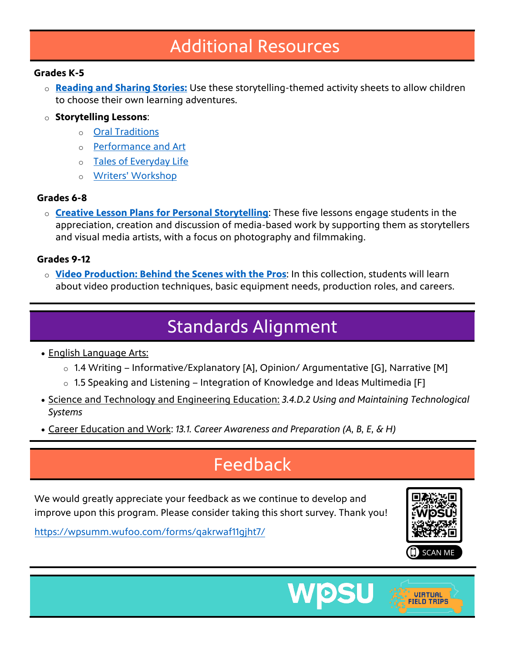### Additional Resources

#### **Grades K-5**

- o **[Reading and Sharing Stories:](https://wpsu.pbslearningmedia.org/resource/storytelling-packet-grades-1-and-2/pbs-kids/)** Use these storytelling-themed activity sheets to allow children to choose their own learning adventures.
- o **Storytelling Lessons**:
	- o [Oral Traditions](https://wpsu.pbslearningmedia.org/resource/echo07.lan.stories.lporaltrad/storytelling-oral-traditions/)
	- o [Performance and Art](https://wpsu.pbslearningmedia.org/resource/echo07.lan.stories.lpperformart/storytelling-performance-and-art/)
	- o [Tales of Everyday Life](https://wpsu.pbslearningmedia.org/resource/echo07.lan.stories.lpeveryday/storytelling-tales-of-everyday-life/)
	- o [Writers' Workshop](https://wpsu.pbslearningmedia.org/resource/echo07.lan.stories.lpwritework/storytelling-writers-workshop/)

### **Grades 6-8**

o **[Creative Lesson Plans for Personal Storytelling](https://wpsu.pbslearningmedia.org/collection/creative-lesson-plans-for-personal-storytelling/)**: These five lessons engage students in the appreciation, creation and discussion of media-based work by supporting them as storytellers and visual media artists, with a focus on photography and filmmaking.

#### **Grades 9-12**

o **[Video Production: Behind the Scenes with the Pros](https://wpsu.pbslearningmedia.org/collection/video-production-behind-the-scenes-with-the-pros/)**: In this collection, students will learn about video production techniques, basic equipment needs, production roles, and careers.

## Standards Alignment

- English Language Arts:
	- o 1.4 Writing Informative/Explanatory [A], Opinion/ Argumentative [G], Narrative [M]
	- $\circ$  1.5 Speaking and Listening Integration of Knowledge and Ideas Multimedia [F]
- Science and Technology and Engineering Education: *3.4.D.2 Using and Maintaining Technological Systems*
- Career Education and Work: *13.1. Career Awareness and Preparation (A, B, E, & H)*

### **Feedback**

We would greatly appreciate your feedback as we continue to develop and improve upon this program. Please consider taking this short survey. Thank you!

<https://wpsumm.wufoo.com/forms/qakrwaf11gjht7/>

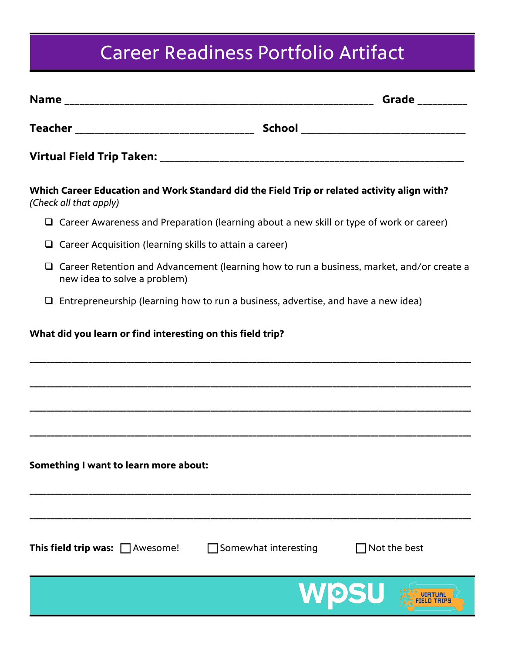# Career Readiness Portfolio Artifact

<span id="page-4-0"></span>

| Which Career Education and Work Standard did the Field Trip or related activity align with?<br>(Check all that apply)            |                             |                     |
|----------------------------------------------------------------------------------------------------------------------------------|-----------------------------|---------------------|
| $\Box$ Career Awareness and Preparation (learning about a new skill or type of work or career)                                   |                             |                     |
| $\Box$ Career Acquisition (learning skills to attain a career)                                                                   |                             |                     |
| $\Box$ Career Retention and Advancement (learning how to run a business, market, and/or create a<br>new idea to solve a problem) |                             |                     |
| $\Box$ Entrepreneurship (learning how to run a business, advertise, and have a new idea)                                         |                             |                     |
| What did you learn or find interesting on this field trip?                                                                       |                             |                     |
| Something I want to learn more about:                                                                                            |                             |                     |
| <b>This field trip was:</b> $\Box$ Awesome!                                                                                      | $\Box$ Somewhat interesting | $\Box$ Not the best |
|                                                                                                                                  |                             | WOSU                |